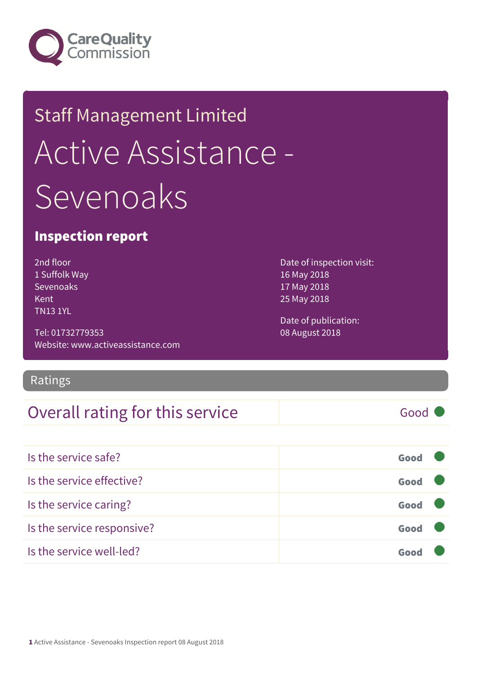

## Staff Management Limited Active Assistance - Sevenoaks

### Inspection report

2nd floor 1 Suffolk Way Sevenoaks Kent TN13 1YL

Tel: 01732779353 Website: www.activeassistance.com

### Ratings

### Overall rating for this service Fig. 600 Good

Date of inspection visit: 16 May 2018 17 May 2018 25 May 2018

Date of publication: 08 August 2018

| Is the service safe?       | Good |  |
|----------------------------|------|--|
| Is the service effective?  | Good |  |
| Is the service caring?     | Good |  |
| Is the service responsive? | Good |  |
| Is the service well-led?   |      |  |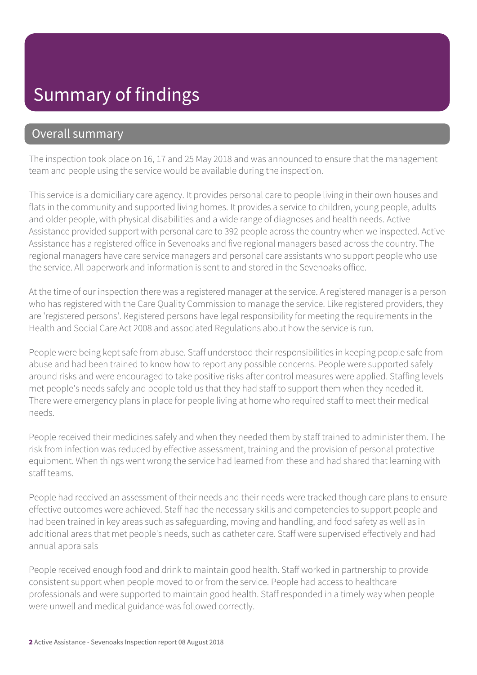### Summary of findings

### Overall summary

The inspection took place on 16, 17 and 25 May 2018 and was announced to ensure that the management team and people using the service would be available during the inspection.

This service is a domiciliary care agency. It provides personal care to people living in their own houses and flats in the community and supported living homes. It provides a service to children, young people, adults and older people, with physical disabilities and a wide range of diagnoses and health needs. Active Assistance provided support with personal care to 392 people across the country when we inspected. Active Assistance has a registered office in Sevenoaks and five regional managers based across the country. The regional managers have care service managers and personal care assistants who support people who use the service. All paperwork and information is sent to and stored in the Sevenoaks office.

At the time of our inspection there was a registered manager at the service. A registered manager is a person who has registered with the Care Quality Commission to manage the service. Like registered providers, they are 'registered persons'. Registered persons have legal responsibility for meeting the requirements in the Health and Social Care Act 2008 and associated Regulations about how the service is run.

People were being kept safe from abuse. Staff understood their responsibilities in keeping people safe from abuse and had been trained to know how to report any possible concerns. People were supported safely around risks and were encouraged to take positive risks after control measures were applied. Staffing levels met people's needs safely and people told us that they had staff to support them when they needed it. There were emergency plans in place for people living at home who required staff to meet their medical needs.

People received their medicines safely and when they needed them by staff trained to administer them. The risk from infection was reduced by effective assessment, training and the provision of personal protective equipment. When things went wrong the service had learned from these and had shared that learning with staff teams.

People had received an assessment of their needs and their needs were tracked though care plans to ensure effective outcomes were achieved. Staff had the necessary skills and competencies to support people and had been trained in key areas such as safeguarding, moving and handling, and food safety as well as in additional areas that met people's needs, such as catheter care. Staff were supervised effectively and had annual appraisals

People received enough food and drink to maintain good health. Staff worked in partnership to provide consistent support when people moved to or from the service. People had access to healthcare professionals and were supported to maintain good health. Staff responded in a timely way when people were unwell and medical guidance was followed correctly.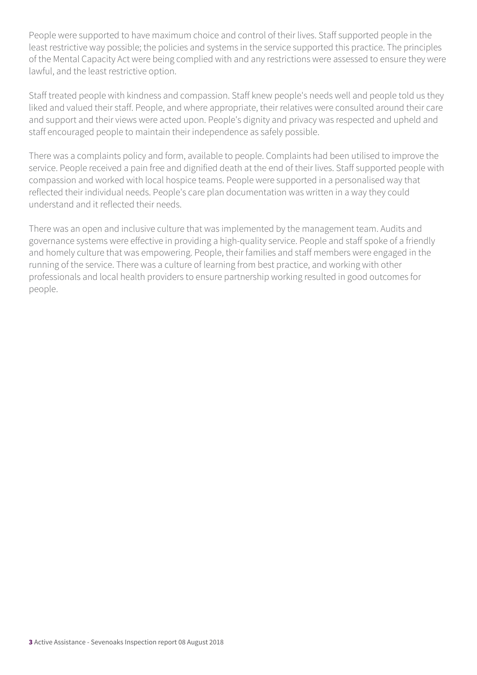People were supported to have maximum choice and control of their lives. Staff supported people in the least restrictive way possible; the policies and systems in the service supported this practice. The principles of the Mental Capacity Act were being complied with and any restrictions were assessed to ensure they were lawful, and the least restrictive option.

Staff treated people with kindness and compassion. Staff knew people's needs well and people told us they liked and valued their staff. People, and where appropriate, their relatives were consulted around their care and support and their views were acted upon. People's dignity and privacy was respected and upheld and staff encouraged people to maintain their independence as safely possible.

There was a complaints policy and form, available to people. Complaints had been utilised to improve the service. People received a pain free and dignified death at the end of their lives. Staff supported people with compassion and worked with local hospice teams. People were supported in a personalised way that reflected their individual needs. People's care plan documentation was written in a way they could understand and it reflected their needs.

There was an open and inclusive culture that was implemented by the management team. Audits and governance systems were effective in providing a high-quality service. People and staff spoke of a friendly and homely culture that was empowering. People, their families and staff members were engaged in the running of the service. There was a culture of learning from best practice, and working with other professionals and local health providers to ensure partnership working resulted in good outcomes for people.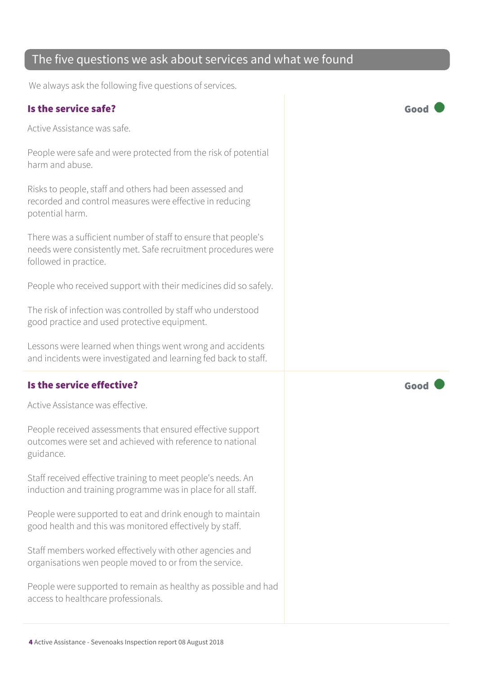### The five questions we ask about services and what we found

We always ask the following five questions of services.

#### Is the service safe? Good

Active Assistance was safe.

People were safe and were protected from the risk of potential harm and abuse.

Risks to people, staff and others had been assessed and recorded and control measures were effective in reducing potential harm.

There was a sufficient number of staff to ensure that people's needs were consistently met. Safe recruitment procedures were followed in practice.

People who received support with their medicines did so safely.

The risk of infection was controlled by staff who understood good practice and used protective equipment.

Lessons were learned when things went wrong and accidents and incidents were investigated and learning fed back to staff.

### Is the service effective?  $\Box$  Good  $\Box$  Good  $\Box$

Active Assistance was effective.

People received assessments that ensured effective support outcomes were set and achieved with reference to national guidance.

Staff received effective training to meet people's needs. An induction and training programme was in place for all staff.

People were supported to eat and drink enough to maintain good health and this was monitored effectively by staff.

Staff members worked effectively with other agencies and organisations wen people moved to or from the service.

People were supported to remain as healthy as possible and had access to healthcare professionals.

4 Active Assistance - Sevenoaks Inspection report 08 August 2018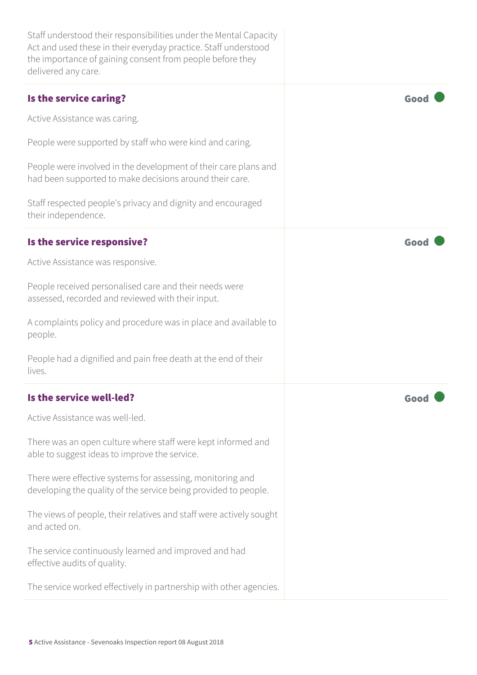| Staff understood their responsibilities under the Mental Capacity<br>Act and used these in their everyday practice. Staff understood<br>the importance of gaining consent from people before they<br>delivered any care. |      |
|--------------------------------------------------------------------------------------------------------------------------------------------------------------------------------------------------------------------------|------|
| Is the service caring?                                                                                                                                                                                                   | Good |
| Active Assistance was caring.                                                                                                                                                                                            |      |
| People were supported by staff who were kind and caring.                                                                                                                                                                 |      |
| People were involved in the development of their care plans and<br>had been supported to make decisions around their care.                                                                                               |      |
| Staff respected people's privacy and dignity and encouraged<br>their independence.                                                                                                                                       |      |
| Is the service responsive?                                                                                                                                                                                               | Good |
| Active Assistance was responsive.                                                                                                                                                                                        |      |
| People received personalised care and their needs were<br>assessed, recorded and reviewed with their input.                                                                                                              |      |
| A complaints policy and procedure was in place and available to<br>people.                                                                                                                                               |      |
| People had a dignified and pain free death at the end of their<br>lives.                                                                                                                                                 |      |
| Is the service well-led?                                                                                                                                                                                                 |      |
| Active Assistance was well-led.                                                                                                                                                                                          |      |
| There was an open culture where staff were kept informed and<br>able to suggest ideas to improve the service.                                                                                                            |      |
| There were effective systems for assessing, monitoring and<br>developing the quality of the service being provided to people.                                                                                            |      |
| The views of people, their relatives and staff were actively sought<br>and acted on.                                                                                                                                     |      |
| The service continuously learned and improved and had<br>effective audits of quality.                                                                                                                                    |      |
| The service worked effectively in partnership with other agencies.                                                                                                                                                       |      |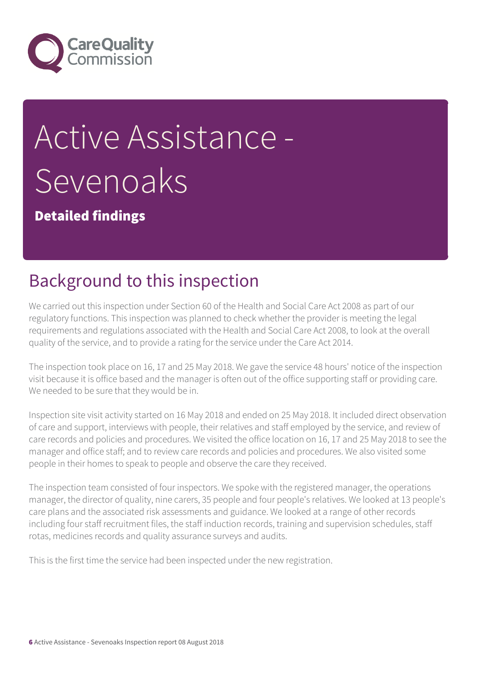

# Active Assistance - Sevenoaks

Detailed findings

### Background to this inspection

We carried out this inspection under Section 60 of the Health and Social Care Act 2008 as part of our regulatory functions. This inspection was planned to check whether the provider is meeting the legal requirements and regulations associated with the Health and Social Care Act 2008, to look at the overall quality of the service, and to provide a rating for the service under the Care Act 2014.

The inspection took place on 16, 17 and 25 May 2018. We gave the service 48 hours' notice of the inspection visit because it is office based and the manager is often out of the office supporting staff or providing care. We needed to be sure that they would be in.

Inspection site visit activity started on 16 May 2018 and ended on 25 May 2018. It included direct observation of care and support, interviews with people, their relatives and staff employed by the service, and review of care records and policies and procedures. We visited the office location on 16, 17 and 25 May 2018 to see the manager and office staff; and to review care records and policies and procedures. We also visited some people in their homes to speak to people and observe the care they received.

The inspection team consisted of four inspectors. We spoke with the registered manager, the operations manager, the director of quality, nine carers, 35 people and four people's relatives. We looked at 13 people's care plans and the associated risk assessments and guidance. We looked at a range of other records including four staff recruitment files, the staff induction records, training and supervision schedules, staff rotas, medicines records and quality assurance surveys and audits.

This is the first time the service had been inspected under the new registration.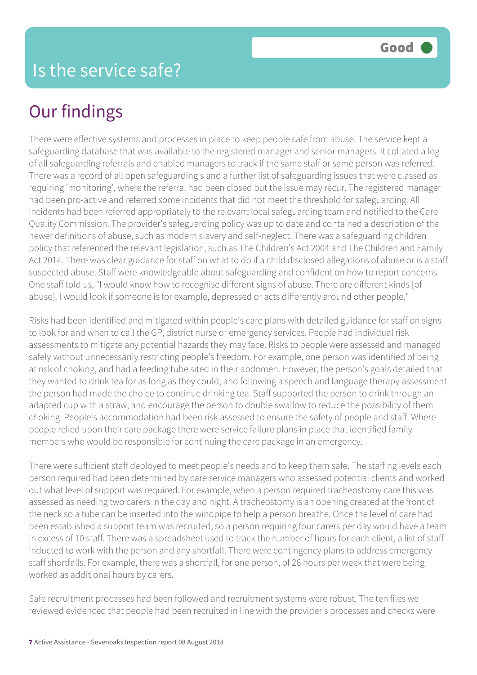There were effective systems and processes in place to keep people safe from abuse. The service kept a safeguarding database that was available to the registered manager and senior managers. It collated a log of all safeguarding referrals and enabled managers to track if the same staff or same person was referred. There was a record of all open safeguarding's and a further list of safeguarding issues that were classed as requiring 'monitoring', where the referral had been closed but the issue may recur. The registered manager had been pro-active and referred some incidents that did not meet the threshold for safeguarding. All incidents had been referred appropriately to the relevant local safeguarding team and notified to the Care Quality Commission. The provider's safeguarding policy was up to date and contained a description of the newer definitions of abuse, such as modern slavery and self-neglect. There was a safeguarding children policy that referenced the relevant legislation, such as The Children's Act 2004 and The Children and Family Act 2014. There was clear guidance for staff on what to do if a child disclosed allegations of abuse or is a staff suspected abuse. Staff were knowledgeable about safeguarding and confident on how to report concerns. One staff told us, "I would know how to recognise different signs of abuse. There are different kinds [of abuse]. I would look if someone is for example, depressed or acts differently around other people."

Risks had been identified and mitigated within people's care plans with detailed guidance for staff on signs to look for and when to call the GP, district nurse or emergency services. People had individual risk assessments to mitigate any potential hazards they may face. Risks to people were assessed and managed safely without unnecessarily restricting people's freedom. For example, one person was identified of being at risk of choking, and had a feeding tube sited in their abdomen. However, the person's goals detailed that they wanted to drink tea for as long as they could, and following a speech and language therapy assessment the person had made the choice to continue drinking tea. Staff supported the person to drink through an adapted cup with a straw, and encourage the person to double swallow to reduce the possibility of them choking. People's accommodation had been risk assessed to ensure the safety of people and staff. Where people relied upon their care package there were service failure plans in place that identified family members who would be responsible for continuing the care package in an emergency.

There were sufficient staff deployed to meet people's needs and to keep them safe. The staffing levels each person required had been determined by care service managers who assessed potential clients and worked out what level of support was required. For example, when a person required tracheostomy care this was assessed as needing two carers in the day and night. A tracheostomy is an opening created at the front of the neck so a tube can be inserted into the windpipe to help a person breathe. Once the level of care had been established a support team was recruited, so a person requiring four carers per day would have a team in excess of 10 staff. There was a spreadsheet used to track the number of hours for each client, a list of staff inducted to work with the person and any shortfall. There were contingency plans to address emergency staff shortfalls. For example, there was a shortfall, for one person, of 26 hours per week that were being worked as additional hours by carers.

Safe recruitment processes had been followed and recruitment systems were robust. The ten files we reviewed evidenced that people had been recruited in line with the provider's processes and checks were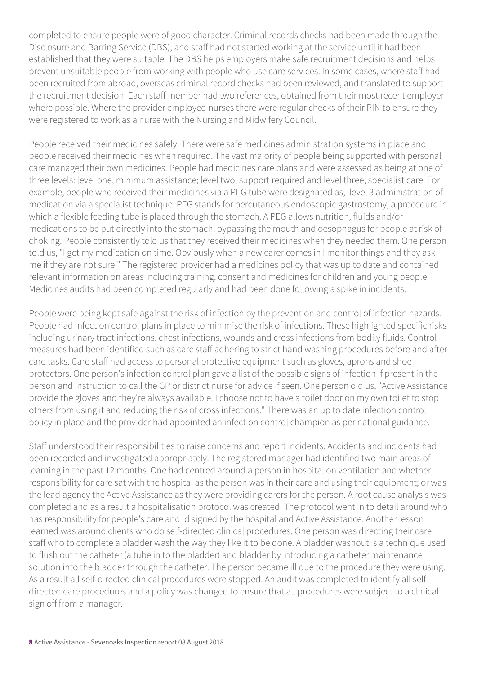completed to ensure people were of good character. Criminal records checks had been made through the Disclosure and Barring Service (DBS), and staff had not started working at the service until it had been established that they were suitable. The DBS helps employers make safe recruitment decisions and helps prevent unsuitable people from working with people who use care services. In some cases, where staff had been recruited from abroad, overseas criminal record checks had been reviewed, and translated to support the recruitment decision. Each staff member had two references, obtained from their most recent employer where possible. Where the provider employed nurses there were regular checks of their PIN to ensure they were registered to work as a nurse with the Nursing and Midwifery Council.

People received their medicines safely. There were safe medicines administration systems in place and people received their medicines when required. The vast majority of people being supported with personal care managed their own medicines. People had medicines care plans and were assessed as being at one of three levels: level one, minimum assistance; level two, support required and level three, specialist care. For example, people who received their medicines via a PEG tube were designated as, 'level 3 administration of medication via a specialist technique. PEG stands for percutaneous endoscopic gastrostomy, a procedure in which a flexible feeding tube is placed through the stomach. A PEG allows nutrition, fluids and/or medications to be put directly into the stomach, bypassing the mouth and oesophagus for people at risk of choking. People consistently told us that they received their medicines when they needed them. One person told us, "I get my medication on time. Obviously when a new carer comes in I monitor things and they ask me if they are not sure." The registered provider had a medicines policy that was up to date and contained relevant information on areas including training, consent and medicines for children and young people. Medicines audits had been completed regularly and had been done following a spike in incidents.

People were being kept safe against the risk of infection by the prevention and control of infection hazards. People had infection control plans in place to minimise the risk of infections. These highlighted specific risks including urinary tract infections, chest infections, wounds and cross infections from bodily fluids. Control measures had been identified such as care staff adhering to strict hand washing procedures before and after care tasks. Care staff had access to personal protective equipment such as gloves, aprons and shoe protectors. One person's infection control plan gave a list of the possible signs of infection if present in the person and instruction to call the GP or district nurse for advice if seen. One person old us, "Active Assistance provide the gloves and they're always available. I choose not to have a toilet door on my own toilet to stop others from using it and reducing the risk of cross infections." There was an up to date infection control policy in place and the provider had appointed an infection control champion as per national guidance.

Staff understood their responsibilities to raise concerns and report incidents. Accidents and incidents had been recorded and investigated appropriately. The registered manager had identified two main areas of learning in the past 12 months. One had centred around a person in hospital on ventilation and whether responsibility for care sat with the hospital as the person was in their care and using their equipment; or was the lead agency the Active Assistance as they were providing carers for the person. A root cause analysis was completed and as a result a hospitalisation protocol was created. The protocol went in to detail around who has responsibility for people's care and id signed by the hospital and Active Assistance. Another lesson learned was around clients who do self-directed clinical procedures. One person was directing their care staff who to complete a bladder wash the way they like it to be done. A bladder washout is a technique used to flush out the catheter (a tube in to the bladder) and bladder by introducing a catheter maintenance solution into the bladder through the catheter. The person became ill due to the procedure they were using. As a result all self-directed clinical procedures were stopped. An audit was completed to identify all selfdirected care procedures and a policy was changed to ensure that all procedures were subject to a clinical sign off from a manager.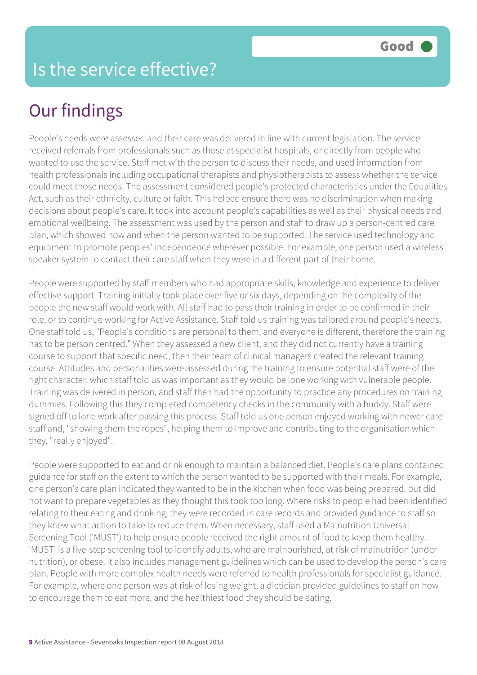People's needs were assessed and their care was delivered in line with current legislation. The service received referrals from professionals such as those at specialist hospitals, or directly from people who wanted to use the service. Staff met with the person to discuss their needs, and used information from health professionals including occupational therapists and physiotherapists to assess whether the service could meet those needs. The assessment considered people's protected characteristics under the Equalities Act, such as their ethnicity, culture or faith. This helped ensure there was no discrimination when making decisions about people's care. It took into account people's capabilities as well as their physical needs and emotional wellbeing. The assessment was used by the person and staff to draw up a person-centred care plan, which showed how and when the person wanted to be supported. The service used technology and equipment to promote peoples' independence wherever possible. For example, one person used a wireless speaker system to contact their care staff when they were in a different part of their home.

People were supported by staff members who had appropriate skills, knowledge and experience to deliver effective support. Training initially took place over five or six days, depending on the complexity of the people the new staff would work with. All staff had to pass their training in order to be confirmed in their role, or to continue working for Active Assistance. Staff told us training was tailored around people's needs. One staff told us, "People's conditions are personal to them, and everyone is different, therefore the training has to be person centred." When they assessed a new client, and they did not currently have a training course to support that specific need, then their team of clinical managers created the relevant training course. Attitudes and personalities were assessed during the training to ensure potential staff were of the right character, which staff told us was important as they would be lone working with vulnerable people. Training was delivered in person, and staff then had the opportunity to practice any procedures on training dummies. Following this they completed competency checks in the community with a buddy. Staff were signed off to lone work after passing this process. Staff told us one person enjoyed working with newer care staff and, "showing them the ropes", helping them to improve and contributing to the organisation which they, "really enjoyed".

People were supported to eat and drink enough to maintain a balanced diet. People's care plans contained guidance for staff on the extent to which the person wanted to be supported with their meals. For example, one person's care plan indicated they wanted to be in the kitchen when food was being prepared, but did not want to prepare vegetables as they thought this took too long. Where risks to people had been identified relating to their eating and drinking, they were recorded in care records and provided guidance to staff so they knew what action to take to reduce them. When necessary, staff used a Malnutrition Universal Screening Tool ('MUST') to help ensure people received the right amount of food to keep them healthy. 'MUST' is a five-step screening tool to identify adults, who are malnourished, at risk of malnutrition (under nutrition), or obese. It also includes management guidelines which can be used to develop the person's care plan. People with more complex health needs were referred to health professionals for specialist guidance. For example, where one person was at risk of losing weight, a dietician provided guidelines to staff on how to encourage them to eat more, and the healthiest food they should be eating.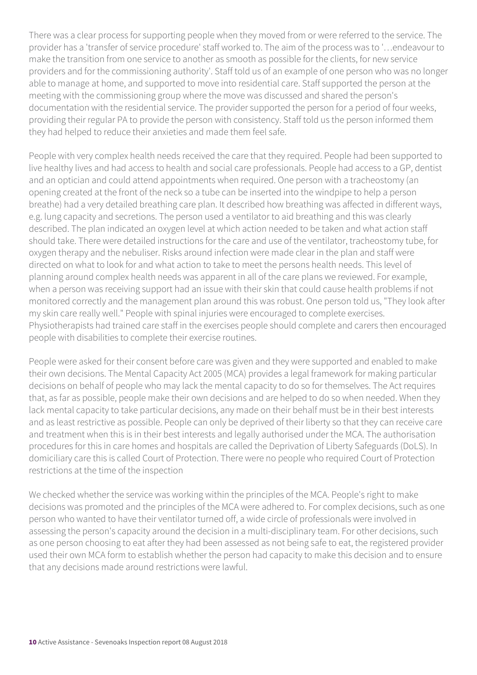There was a clear process for supporting people when they moved from or were referred to the service. The provider has a 'transfer of service procedure' staff worked to. The aim of the process was to '…endeavour to make the transition from one service to another as smooth as possible for the clients, for new service providers and for the commissioning authority'. Staff told us of an example of one person who was no longer able to manage at home, and supported to move into residential care. Staff supported the person at the meeting with the commissioning group where the move was discussed and shared the person's documentation with the residential service. The provider supported the person for a period of four weeks, providing their regular PA to provide the person with consistency. Staff told us the person informed them they had helped to reduce their anxieties and made them feel safe.

People with very complex health needs received the care that they required. People had been supported to live healthy lives and had access to health and social care professionals. People had access to a GP, dentist and an optician and could attend appointments when required. One person with a tracheostomy (an opening created at the front of the neck so a tube can be inserted into the windpipe to help a person breathe) had a very detailed breathing care plan. It described how breathing was affected in different ways, e.g. lung capacity and secretions. The person used a ventilator to aid breathing and this was clearly described. The plan indicated an oxygen level at which action needed to be taken and what action staff should take. There were detailed instructions for the care and use of the ventilator, tracheostomy tube, for oxygen therapy and the nebuliser. Risks around infection were made clear in the plan and staff were directed on what to look for and what action to take to meet the persons health needs. This level of planning around complex health needs was apparent in all of the care plans we reviewed. For example, when a person was receiving support had an issue with their skin that could cause health problems if not monitored correctly and the management plan around this was robust. One person told us, "They look after my skin care really well." People with spinal injuries were encouraged to complete exercises. Physiotherapists had trained care staff in the exercises people should complete and carers then encouraged people with disabilities to complete their exercise routines.

People were asked for their consent before care was given and they were supported and enabled to make their own decisions. The Mental Capacity Act 2005 (MCA) provides a legal framework for making particular decisions on behalf of people who may lack the mental capacity to do so for themselves. The Act requires that, as far as possible, people make their own decisions and are helped to do so when needed. When they lack mental capacity to take particular decisions, any made on their behalf must be in their best interests and as least restrictive as possible. People can only be deprived of their liberty so that they can receive care and treatment when this is in their best interests and legally authorised under the MCA. The authorisation procedures for this in care homes and hospitals are called the Deprivation of Liberty Safeguards (DoLS). In domiciliary care this is called Court of Protection. There were no people who required Court of Protection restrictions at the time of the inspection

We checked whether the service was working within the principles of the MCA. People's right to make decisions was promoted and the principles of the MCA were adhered to. For complex decisions, such as one person who wanted to have their ventilator turned off, a wide circle of professionals were involved in assessing the person's capacity around the decision in a multi-disciplinary team. For other decisions, such as one person choosing to eat after they had been assessed as not being safe to eat, the registered provider used their own MCA form to establish whether the person had capacity to make this decision and to ensure that any decisions made around restrictions were lawful.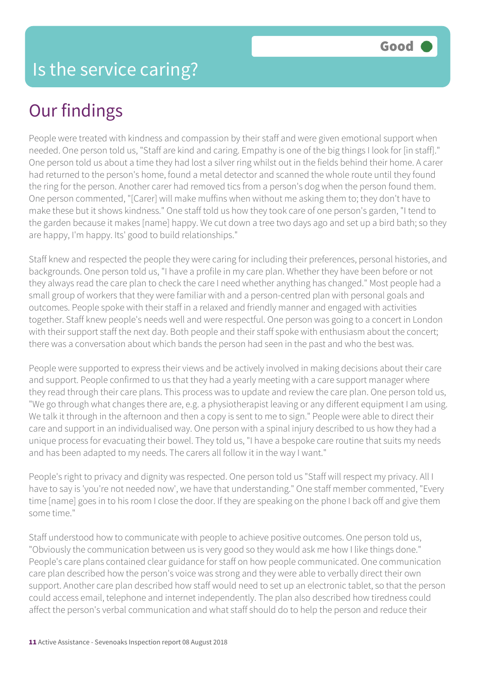People were treated with kindness and compassion by their staff and were given emotional support when needed. One person told us, "Staff are kind and caring. Empathy is one of the big things I look for [in staff]." One person told us about a time they had lost a silver ring whilst out in the fields behind their home. A carer had returned to the person's home, found a metal detector and scanned the whole route until they found the ring for the person. Another carer had removed tics from a person's dog when the person found them. One person commented, "[Carer] will make muffins when without me asking them to; they don't have to make these but it shows kindness." One staff told us how they took care of one person's garden, "I tend to the garden because it makes [name] happy. We cut down a tree two days ago and set up a bird bath; so they are happy, I'm happy. Its' good to build relationships."

Staff knew and respected the people they were caring for including their preferences, personal histories, and backgrounds. One person told us, "I have a profile in my care plan. Whether they have been before or not they always read the care plan to check the care I need whether anything has changed." Most people had a small group of workers that they were familiar with and a person-centred plan with personal goals and outcomes. People spoke with their staff in a relaxed and friendly manner and engaged with activities together. Staff knew people's needs well and were respectful. One person was going to a concert in London with their support staff the next day. Both people and their staff spoke with enthusiasm about the concert; there was a conversation about which bands the person had seen in the past and who the best was.

People were supported to express their views and be actively involved in making decisions about their care and support. People confirmed to us that they had a yearly meeting with a care support manager where they read through their care plans. This process was to update and review the care plan. One person told us, "We go through what changes there are, e.g. a physiotherapist leaving or any different equipment I am using. We talk it through in the afternoon and then a copy is sent to me to sign." People were able to direct their care and support in an individualised way. One person with a spinal injury described to us how they had a unique process for evacuating their bowel. They told us, "I have a bespoke care routine that suits my needs and has been adapted to my needs. The carers all follow it in the way I want."

People's right to privacy and dignity was respected. One person told us "Staff will respect my privacy. All I have to say is 'you're not needed now', we have that understanding." One staff member commented, "Every time [name] goes in to his room I close the door. If they are speaking on the phone I back off and give them some time."

Staff understood how to communicate with people to achieve positive outcomes. One person told us, "Obviously the communication between us is very good so they would ask me how I like things done." People's care plans contained clear guidance for staff on how people communicated. One communication care plan described how the person's voice was strong and they were able to verbally direct their own support. Another care plan described how staff would need to set up an electronic tablet, so that the person could access email, telephone and internet independently. The plan also described how tiredness could affect the person's verbal communication and what staff should do to help the person and reduce their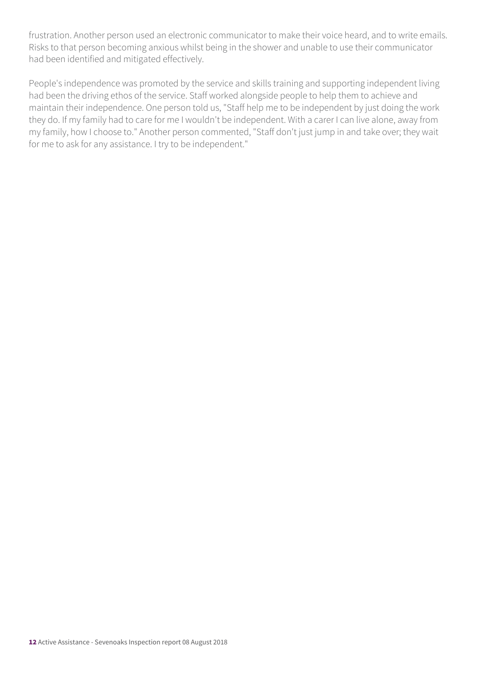frustration. Another person used an electronic communicator to make their voice heard, and to write emails. Risks to that person becoming anxious whilst being in the shower and unable to use their communicator had been identified and mitigated effectively.

People's independence was promoted by the service and skills training and supporting independent living had been the driving ethos of the service. Staff worked alongside people to help them to achieve and maintain their independence. One person told us, "Staff help me to be independent by just doing the work they do. If my family had to care for me I wouldn't be independent. With a carer I can live alone, away from my family, how I choose to." Another person commented, "Staff don't just jump in and take over; they wait for me to ask for any assistance. I try to be independent."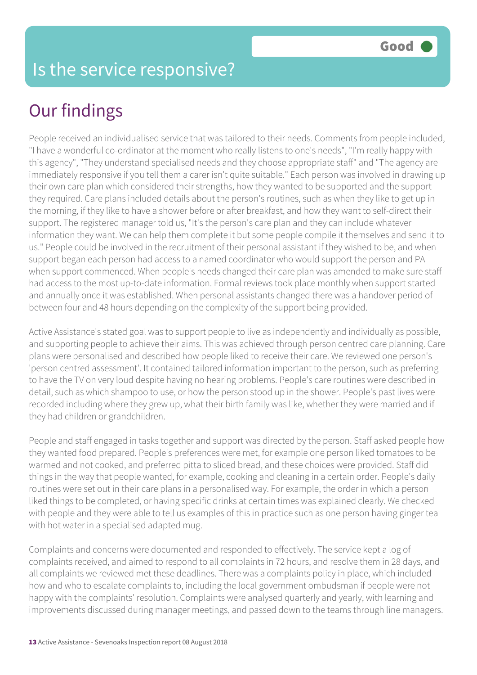### Is the service responsive?

## Our findings

People received an individualised service that was tailored to their needs. Comments from people included, "I have a wonderful co-ordinator at the moment who really listens to one's needs", "I'm really happy with this agency", "They understand specialised needs and they choose appropriate staff" and "The agency are immediately responsive if you tell them a carer isn't quite suitable." Each person was involved in drawing up their own care plan which considered their strengths, how they wanted to be supported and the support they required. Care plans included details about the person's routines, such as when they like to get up in the morning, if they like to have a shower before or after breakfast, and how they want to self-direct their support. The registered manager told us, "It's the person's care plan and they can include whatever information they want. We can help them complete it but some people compile it themselves and send it to us." People could be involved in the recruitment of their personal assistant if they wished to be, and when support began each person had access to a named coordinator who would support the person and PA when support commenced. When people's needs changed their care plan was amended to make sure staff had access to the most up-to-date information. Formal reviews took place monthly when support started and annually once it was established. When personal assistants changed there was a handover period of between four and 48 hours depending on the complexity of the support being provided.

Active Assistance's stated goal was to support people to live as independently and individually as possible, and supporting people to achieve their aims. This was achieved through person centred care planning. Care plans were personalised and described how people liked to receive their care. We reviewed one person's 'person centred assessment'. It contained tailored information important to the person, such as preferring to have the TV on very loud despite having no hearing problems. People's care routines were described in detail, such as which shampoo to use, or how the person stood up in the shower. People's past lives were recorded including where they grew up, what their birth family was like, whether they were married and if they had children or grandchildren.

People and staff engaged in tasks together and support was directed by the person. Staff asked people how they wanted food prepared. People's preferences were met, for example one person liked tomatoes to be warmed and not cooked, and preferred pitta to sliced bread, and these choices were provided. Staff did things in the way that people wanted, for example, cooking and cleaning in a certain order. People's daily routines were set out in their care plans in a personalised way. For example, the order in which a person liked things to be completed, or having specific drinks at certain times was explained clearly. We checked with people and they were able to tell us examples of this in practice such as one person having ginger tea with hot water in a specialised adapted mug.

Complaints and concerns were documented and responded to effectively. The service kept a log of complaints received, and aimed to respond to all complaints in 72 hours, and resolve them in 28 days, and all complaints we reviewed met these deadlines. There was a complaints policy in place, which included how and who to escalate complaints to, including the local government ombudsman if people were not happy with the complaints' resolution. Complaints were analysed quarterly and yearly, with learning and improvements discussed during manager meetings, and passed down to the teams through line managers.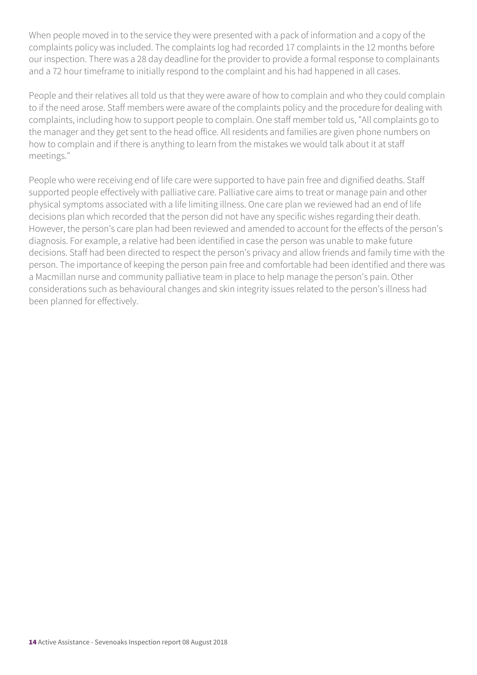When people moved in to the service they were presented with a pack of information and a copy of the complaints policy was included. The complaints log had recorded 17 complaints in the 12 months before our inspection. There was a 28 day deadline for the provider to provide a formal response to complainants and a 72 hour timeframe to initially respond to the complaint and his had happened in all cases.

People and their relatives all told us that they were aware of how to complain and who they could complain to if the need arose. Staff members were aware of the complaints policy and the procedure for dealing with complaints, including how to support people to complain. One staff member told us, "All complaints go to the manager and they get sent to the head office. All residents and families are given phone numbers on how to complain and if there is anything to learn from the mistakes we would talk about it at staff meetings."

People who were receiving end of life care were supported to have pain free and dignified deaths. Staff supported people effectively with palliative care. Palliative care aims to treat or manage pain and other physical symptoms associated with a life limiting illness. One care plan we reviewed had an end of life decisions plan which recorded that the person did not have any specific wishes regarding their death. However, the person's care plan had been reviewed and amended to account for the effects of the person's diagnosis. For example, a relative had been identified in case the person was unable to make future decisions. Staff had been directed to respect the person's privacy and allow friends and family time with the person. The importance of keeping the person pain free and comfortable had been identified and there was a Macmillan nurse and community palliative team in place to help manage the person's pain. Other considerations such as behavioural changes and skin integrity issues related to the person's illness had been planned for effectively.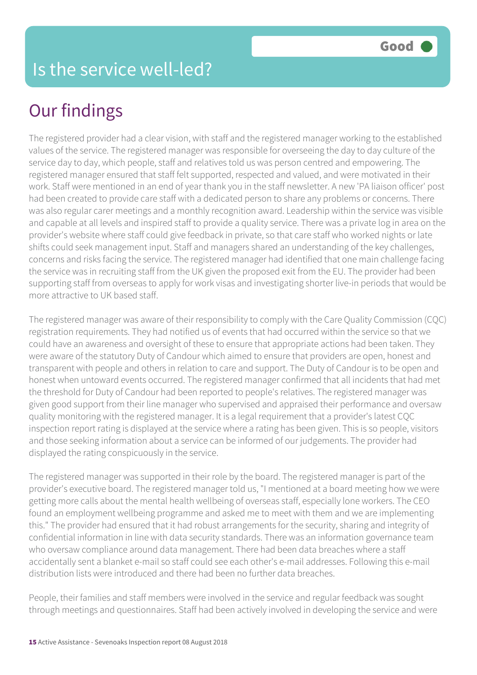The registered provider had a clear vision, with staff and the registered manager working to the established values of the service. The registered manager was responsible for overseeing the day to day culture of the service day to day, which people, staff and relatives told us was person centred and empowering. The registered manager ensured that staff felt supported, respected and valued, and were motivated in their work. Staff were mentioned in an end of year thank you in the staff newsletter. A new 'PA liaison officer' post had been created to provide care staff with a dedicated person to share any problems or concerns. There was also regular carer meetings and a monthly recognition award. Leadership within the service was visible and capable at all levels and inspired staff to provide a quality service. There was a private log in area on the provider's website where staff could give feedback in private, so that care staff who worked nights or late shifts could seek management input. Staff and managers shared an understanding of the key challenges, concerns and risks facing the service. The registered manager had identified that one main challenge facing the service was in recruiting staff from the UK given the proposed exit from the EU. The provider had been supporting staff from overseas to apply for work visas and investigating shorter live-in periods that would be more attractive to UK based staff.

The registered manager was aware of their responsibility to comply with the Care Quality Commission (CQC) registration requirements. They had notified us of events that had occurred within the service so that we could have an awareness and oversight of these to ensure that appropriate actions had been taken. They were aware of the statutory Duty of Candour which aimed to ensure that providers are open, honest and transparent with people and others in relation to care and support. The Duty of Candour is to be open and honest when untoward events occurred. The registered manager confirmed that all incidents that had met the threshold for Duty of Candour had been reported to people's relatives. The registered manager was given good support from their line manager who supervised and appraised their performance and oversaw quality monitoring with the registered manager. It is a legal requirement that a provider's latest CQC inspection report rating is displayed at the service where a rating has been given. This is so people, visitors and those seeking information about a service can be informed of our judgements. The provider had displayed the rating conspicuously in the service.

The registered manager was supported in their role by the board. The registered manager is part of the provider's executive board. The registered manager told us, "I mentioned at a board meeting how we were getting more calls about the mental health wellbeing of overseas staff, especially lone workers. The CEO found an employment wellbeing programme and asked me to meet with them and we are implementing this." The provider had ensured that it had robust arrangements for the security, sharing and integrity of confidential information in line with data security standards. There was an information governance team who oversaw compliance around data management. There had been data breaches where a staff accidentally sent a blanket e-mail so staff could see each other's e-mail addresses. Following this e-mail distribution lists were introduced and there had been no further data breaches.

People, their families and staff members were involved in the service and regular feedback was sought through meetings and questionnaires. Staff had been actively involved in developing the service and were